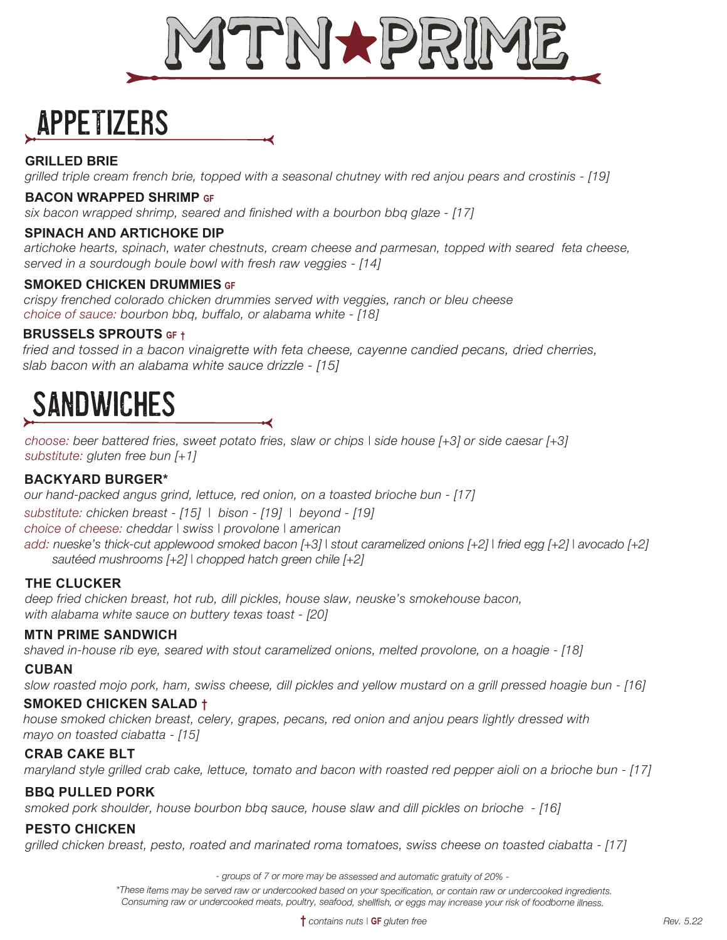# TTNAPRIME

### APpETIZERS

#### **GRILLED BRIE**

*grilled triple cream french brie, topped with a seasonal chutney with red anjou pears and crostinis - [19]* 

#### **BACON WRAPPED SHRIMP GF**

*six bacon wrapped shrimp, seared and finished with a bourbon bbq glaze - [17]*

#### **SPINACH AND ARTICHOKE DIP**

*artichoke hearts, spinach, water chestnuts, cream cheese and parmesan, topped with seared feta cheese, served in a sourdough boule bowl with fresh raw veggies - [14]*

#### **SMOKED CHICKEN DRUMMIES GF**

*crispy frenched colorado chicken drummies served with veggies, ranch or bleu cheese choice of sauce: bourbon bbq, buffalo, or alabama white - [18]*

#### **BRUSSELS SPROUTS GF †**

*fried and tossed in a bacon vinaigrette with feta cheese, cayenne candied pecans, dried cherries, slab bacon with an alabama white sauce drizzle - [15]*

### SANDWICHES

*choose: beer battered fries, sweet potato fries, slaw or chips | side house [+3] or side caesar [+3] substitute: gluten free bun [+1]* 

#### **BACKYARD BURGER\***

*our hand-packed angus grind, lettuce, red onion, on a toasted brioche bun - [17] choice of cheese: cheddar | swiss | provolone | american substitute: chicken breast - [15] | bison - [19] | beyond - [19] add: nueske's thick-cut applewood smoked bacon [+3] | stout caramelized onions [+2] | fried egg [+2] | avocado [+2] sautéed mushrooms [+2] | chopped hatch green chile [+2]* 

#### **THE CLUCKER**

*deep fried chicken breast, hot rub, dill pickles, house slaw, neuske's smokehouse bacon, with alabama white sauce on buttery texas toast - [20]*

#### **MTN PRIME SANDWICH**

*shaved in-house rib eye, seared with stout caramelized onions, melted provolone, on a hoagie - [18]* 

#### **CUBAN**

*slow roasted mojo pork, ham, swiss cheese, dill pickles and yellow mustard on a grill pressed hoagie bun - [16]*

#### **SMOKED CHICKEN SALAD †**

*house smoked chicken breast, celery, grapes, pecans, red onion and anjou pears lightly dressed with mayo on toasted ciabatta - [15]*

#### **CRAB CAKE BLT**

*maryland style grilled crab cake, lettuce, tomato and bacon with roasted red pepper aioli on a brioche bun - [17]*

#### **BBQ PULLED PORK**

*smoked pork shoulder, house bourbon bbq sauce, house slaw and dill pickles on brioche - [16]*

#### **PESTO CHICKEN**

*grilled chicken breast, pesto, roated and marinated roma tomatoes, swiss cheese on toasted ciabatta - [17]*

*- groups of 7 or more may be assessed and automatic gratuity of 20% -*

 *\*These items may be served raw or undercooked based on your specification, or contain raw or undercooked ingredients. Consuming raw or undercooked meats, poultry, seafood, shellfish, or eggs may increase your risk of foodborne illness.*